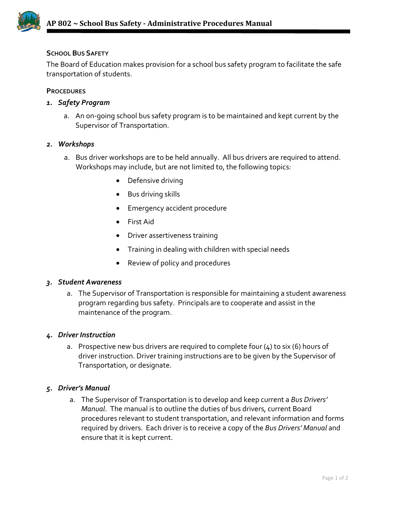

# **SCHOOL BUS SAFETY**

The Board of Education makes provision for a school bus safety program to facilitate the safe transportation of students.

## **PROCEDURES**

# *1. Safety Program*

a. An on-going school bus safety program is to be maintained and kept current by the Supervisor of Transportation.

### *2. Workshops*

- a. Bus driver workshops are to be held annually. All bus drivers are required to attend. Workshops may include, but are not limited to, the following topics:
	- Defensive driving
	- Bus driving skills
	- Emergency accident procedure
	- First Aid
	- Driver assertiveness training
	- Training in dealing with children with special needs
	- Review of policy and procedures

#### *3. Student Awareness*

a. The Supervisor of Transportation is responsible for maintaining a student awareness program regarding bus safety. Principals are to cooperate and assist in the maintenance of the program.

#### *4. Driver Instruction*

a. Prospective new bus drivers are required to complete four (4) to six (6) hours of driver instruction. Driver training instructions are to be given by the Supervisor of Transportation, or designate.

## *5. Driver's Manual*

a. The Supervisor of Transportation is to develop and keep current a *Bus Drivers' Manual*. The manual is to outline the duties of bus drivers, current Board procedures relevant to student transportation, and relevant information and forms required by drivers. Each driver is to receive a copy of the *Bus Drivers' Manual* and ensure that it is kept current.